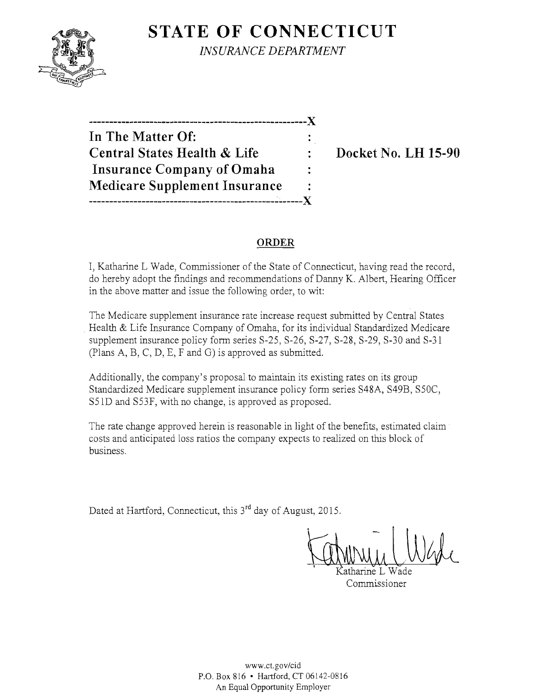# **STATE OF CONNECTICUT**



*INSURANCE DEPARTMENT* 

------------------------------------------------------}( **In The Matter Of: Central States Health & Life Docket No. LH 15-90 Insurance Company of Omaha Medicare Supplement Insurance**  -----------------------------------------------------}(

### **ORDER**

I, Katharine L Wade, Commissioner of the State of Connecticut, having read the record, do hereby adopt the findings and recommendations of Danny K. Albert, Hearing Officer in the above matter and issue the following order, to wit:

The Medicare supplement insurance rate increase request submitted by Central States . Health & Life Insurance Company of Omaha, for its individual Standardized Medicare supplement insurance policy form series S-25, S-26, S-27, S-28, S-29, S-30 and S-31 (Plans A, B, C, D, E, F and G) is approved as submitted.

Additionally, the company's proposal to maintain its existing rates on its group Standardized Medicare supplement insurance policy form series S48A, S49B, S50C, S51D and S53F, with no change, is approved as proposed.

The rate change approved herein is reasonable in light of the benefits, estimated claim costs and anticipated loss ratios the company expects to realized on this block of business.

Dated at Hartford, Connecticut, this 3<sup>rd</sup> day of August, 2015.

atharine L Wade Commissioner

www.ct.gov/cid P.O. Box 816 • Hartford, CT 06!42-0816 An Equal Opportunity Employer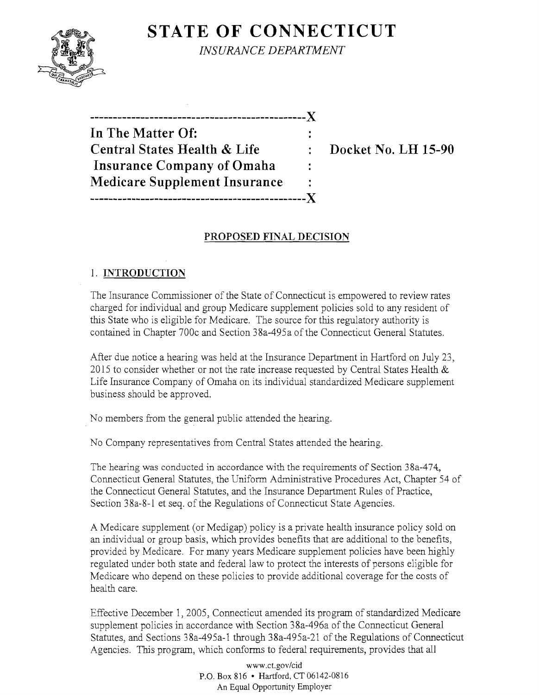## **STATE OF CONNECTICUT**



*INSURANCE DEPARTMENT* 

-----------------------------------------------)( **In The Matter Of: Central States Health & Life : Docket No. LH 15-90 Insurance Company of Omaha Medicare Supplement Insurance** -----------------------------------------------)(

## **PROPOSED FINAL DECISION**

## 1. **INTRODUCTION**

The Insurance Commissioner of the State of Connecticut is empowered to review rates charged for individual and group Medicare supplement policies sold to any resident of this State who is eligible for Medicare. The source for this regulatory authority is contained in Chapter 700c and Section 38a-495a of the Connecticut General Statutes.

After due notice a hearing was held at the Insurance Department in Hartford on July 23, 2015 to consider whether or not the rate increase requested by Central States Health  $\&$ Life Insurance Company of Omaha on its individual standardized Medicare supplement business should be approved.

No members from the general public attended the hearing.

No Company representatives from Central States attended the hearing.

The hearing was conducted in accordance with the requirements of Section 38a-474, Connecticut General Statutes, the Uniform Administrative Procedures Act, Chapter 54 of the Connecticut General Statutes, and the Insurance Department Rules of Practice, Section 3 8a-8-l et seq. of the Regulations of Connecticut State Agencies.

A Medicare supplement (or Medigap) policy is a private health insurance policy sold on an individual or group basis, which provides benefits that are additional to the benefits, provided by Medicare. For many years Medicare supplement policies have been highly regulated under both state and federal law to protect the interests of persons eligible for Medicare who depend on these policies to provide additional coverage for the costs of health care.

Effective December 1, 2005, Connecticut amended its program of standardized Medicare supplement policies in accordance with Section 38a-496a of the Connecticut General Statutes, and Sections 38a-495a-1 through 38a-495a-21 of the Regulations of Connecticut Agencies. This program, which conforms to federal requirements, provides that all

> www.ct.gov/cid P.O. Box 816 • Hartford, CT 06142-0816 An Equal Opportunity Employer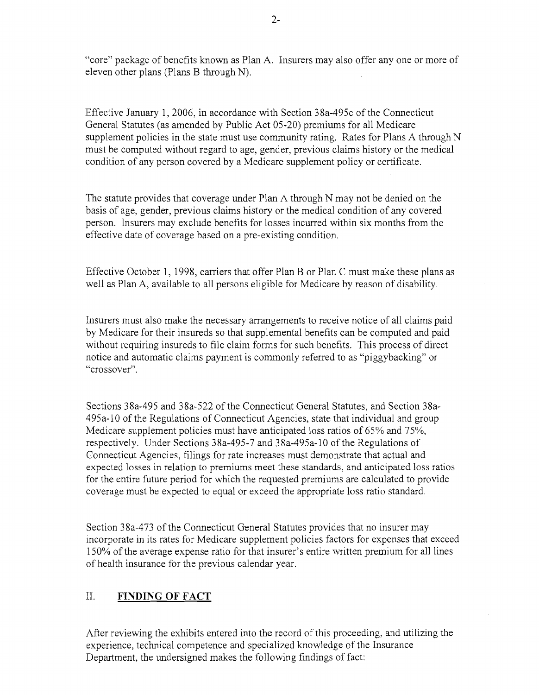"core" package of benefits known as Plan A. Insurers may also offer any one or more of eleven other plans (Plans B through N).

Effective January 1, 2006, in accordance with Section 38a-495c of the Connecticut General Statutes (as amended by Public Act 05-20) premiums for all Medicare supplement policies in the state must use community rating. Rates for Plans A through N must be computed without regard to age, gender, previous claims history or the medical condition of any person covered by a Medicare supplement policy or certificate.

The statute provides that coverage under Plan A through N may not be denied on the basis of age, gender, previous claims history or the medical condition of any covered person. Insurers may exclude benefits for losses incurred within six months from the effective date of coverage based on a pre-existing condition.

Effective October 1, 1998, carriers that offer Plan B or Plan C must make these plans as well as Plan A, available to all persons eligible for Medicare by reason of disability.

Insurers must also make the necessary arrangements to receive notice of all claims paid by Medicare for their insureds so that supplemental benefits can be computed and paid without requiring insureds to file claim forms for such benefits. This process of direct notice and automatic claims payment is commonly referred to as "piggybacking" or "crossover".

Sections 38a-495 and 38a-522 of the Connecticut General Statutes, and Section 38a-495a-1 0 of the Regulations of Connecticut Agencies, state that individual and group Medicare supplement policies must have anticipated loss ratios of 65% and 75%, respectively. Under Sections 38a-495-7 and 38a-495a-1 0 of the Regulations of Connecticut Agencies, filings for rate increases must demonstrate that actual and expected losses in relation to premiums meet these standards, and anticipated loss ratios for the entire future period for which the requested premiums are calculated to provide coverage must be expected to equal or exceed the appropriate loss ratio standard.

Section 38a-473 of the Connecticut General Statutes provides that no insurer may incorporate in its rates for Medicare supplement policies factors for expenses that exceed 1SO% of the average expense ratio for that insurer's entire written premium for all lines of health insurance for the previous calendar year.

### II. **FINDING OF FACT**

After reviewing the exhibits entered into the record of this proceeding, and utilizing the experience, technical competence and specialized knowledge of the Insurance Department, the undersigned makes the following findings of fact: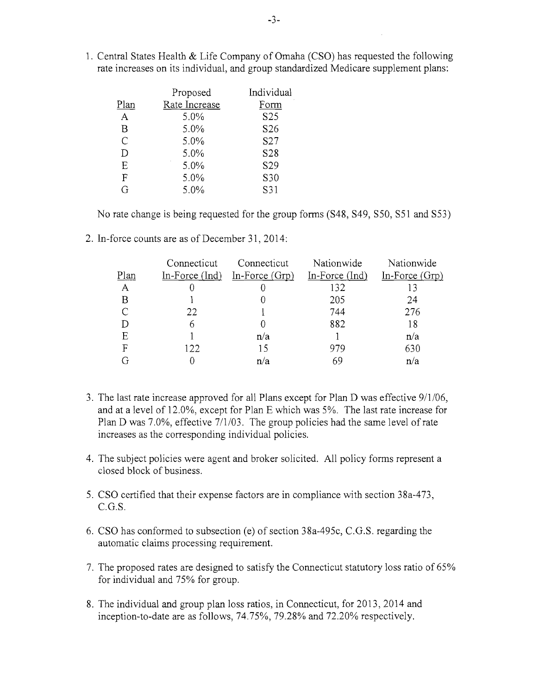|               | Proposed      | Individual      |
|---------------|---------------|-----------------|
| Plan          | Rate Increase | Form            |
| Α             | 5.0%          | S <sub>25</sub> |
| B             | 5.0%          | S <sub>26</sub> |
| $\mathcal{C}$ | 5.0%          | S <sub>27</sub> |
| D             | 5.0%          | S <sub>28</sub> |
| Ε             | 5.0%          | S <sub>29</sub> |
| F             | 5.0%          | S30             |
| G             | 5.0%          | S31             |

1. Central States Health & Life Company of Omaha (CSO) has requested the following rate increases on its individual, and group standardized Medicare supplement plans:

No rate change is being requested for the group forms (S48, S49, S50, S51 and S53)

2. In-force counts are as of December 31, 2014:

|      | Connecticut      | Connecticut      | Nationwide     | Nationwide       |
|------|------------------|------------------|----------------|------------------|
| Plan | $In-Force (Ind)$ | In-Force $(Grp)$ | In-Force (Ind) | In-Force $(Grp)$ |
| A    |                  |                  | 132            |                  |
| B    |                  |                  | 205            | 24               |
|      | 22               |                  | 744            | 276              |
| D    |                  |                  | 882            | 18               |
| E    |                  | n/a              |                | n/a              |
| F    | 122              | 15               | 979            | 630              |
|      |                  | n/a              | 69             | n/a              |

- 3. The last rate increase approved for all Plans except for Plan D was effective  $9/1/06$ , and at a level of 12.0%, except for Plan E which was 5%. The last rate increase for Plan D was 7.0%, effective 7/1/03. The group policies had the same level of rate increases as the corresponding individual policies.
- 4. The subject policies were agent and broker solicited. All policy forms represent a closed block of business.
- 5. CSO certified that their expense factors are in compliance with section 38a-473, C.G.S.
- 6. CSO has conformed to subsection (e) of section 38a-495c, C.G.S. regarding the automatic claims processing requirement.
- 7. The proposed rates are designed to satisfy the Connecticut statutory loss ratio of 65% for individual and 75% for group.
- 8. The individual and group plan loss ratios, in Connecticut, for 2013, 2014 and inception-to-date are as follows, 74.75%, 79.28% and 72.20% respectively.